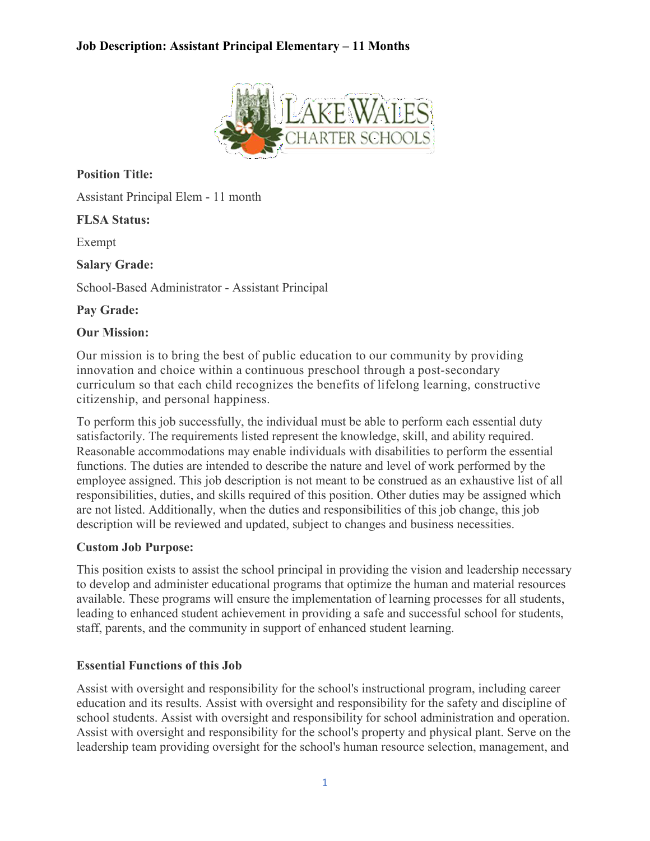

**Position Title:**

Assistant Principal Elem - 11 month

#### **FLSA Status:**

Exempt

**Salary Grade:**

School-Based Administrator - Assistant Principal

**Pay Grade:**

#### **Our Mission:**

Our mission is to bring the best of public education to our community by providing innovation and choice within a continuous preschool through a post-secondary curriculum so that each child recognizes the benefits of lifelong learning, constructive citizenship, and personal happiness.

To perform this job successfully, the individual must be able to perform each essential duty satisfactorily. The requirements listed represent the knowledge, skill, and ability required. Reasonable accommodations may enable individuals with disabilities to perform the essential functions. The duties are intended to describe the nature and level of work performed by the employee assigned. This job description is not meant to be construed as an exhaustive list of all responsibilities, duties, and skills required of this position. Other duties may be assigned which are not listed. Additionally, when the duties and responsibilities of this job change, this job description will be reviewed and updated, subject to changes and business necessities.

## **Custom Job Purpose:**

This position exists to assist the school principal in providing the vision and leadership necessary to develop and administer educational programs that optimize the human and material resources available. These programs will ensure the implementation of learning processes for all students, leading to enhanced student achievement in providing a safe and successful school for students, staff, parents, and the community in support of enhanced student learning.

## **Essential Functions of this Job**

Assist with oversight and responsibility for the school's instructional program, including career education and its results. Assist with oversight and responsibility for the safety and discipline of school students. Assist with oversight and responsibility for school administration and operation. Assist with oversight and responsibility for the school's property and physical plant. Serve on the leadership team providing oversight for the school's human resource selection, management, and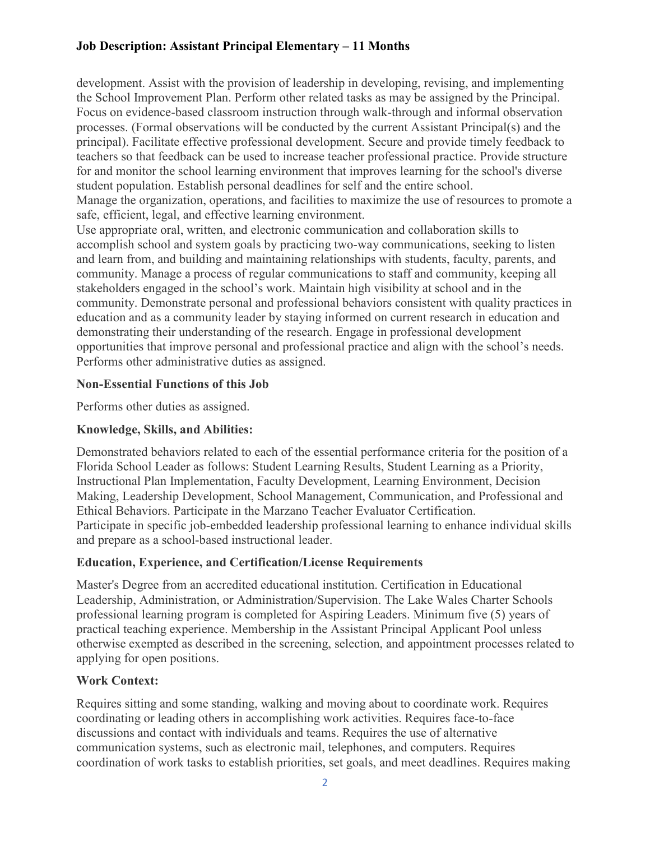development. Assist with the provision of leadership in developing, revising, and implementing the School Improvement Plan. Perform other related tasks as may be assigned by the Principal. Focus on evidence-based classroom instruction through walk-through and informal observation processes. (Formal observations will be conducted by the current Assistant Principal(s) and the principal). Facilitate effective professional development. Secure and provide timely feedback to teachers so that feedback can be used to increase teacher professional practice. Provide structure for and monitor the school learning environment that improves learning for the school's diverse student population. Establish personal deadlines for self and the entire school.

Manage the organization, operations, and facilities to maximize the use of resources to promote a safe, efficient, legal, and effective learning environment.

Use appropriate oral, written, and electronic communication and collaboration skills to accomplish school and system goals by practicing two-way communications, seeking to listen and learn from, and building and maintaining relationships with students, faculty, parents, and community. Manage a process of regular communications to staff and community, keeping all stakeholders engaged in the school's work. Maintain high visibility at school and in the community. Demonstrate personal and professional behaviors consistent with quality practices in education and as a community leader by staying informed on current research in education and demonstrating their understanding of the research. Engage in professional development opportunities that improve personal and professional practice and align with the school's needs. Performs other administrative duties as assigned.

#### **Non-Essential Functions of this Job**

Performs other duties as assigned.

## **Knowledge, Skills, and Abilities:**

Demonstrated behaviors related to each of the essential performance criteria for the position of a Florida School Leader as follows: Student Learning Results, Student Learning as a Priority, Instructional Plan Implementation, Faculty Development, Learning Environment, Decision Making, Leadership Development, School Management, Communication, and Professional and Ethical Behaviors. Participate in the Marzano Teacher Evaluator Certification. Participate in specific job-embedded leadership professional learning to enhance individual skills and prepare as a school-based instructional leader.

## **Education, Experience, and Certification/License Requirements**

Master's Degree from an accredited educational institution. Certification in Educational Leadership, Administration, or Administration/Supervision. The Lake Wales Charter Schools professional learning program is completed for Aspiring Leaders. Minimum five (5) years of practical teaching experience. Membership in the Assistant Principal Applicant Pool unless otherwise exempted as described in the screening, selection, and appointment processes related to applying for open positions.

## **Work Context:**

Requires sitting and some standing, walking and moving about to coordinate work. Requires coordinating or leading others in accomplishing work activities. Requires face-to-face discussions and contact with individuals and teams. Requires the use of alternative communication systems, such as electronic mail, telephones, and computers. Requires coordination of work tasks to establish priorities, set goals, and meet deadlines. Requires making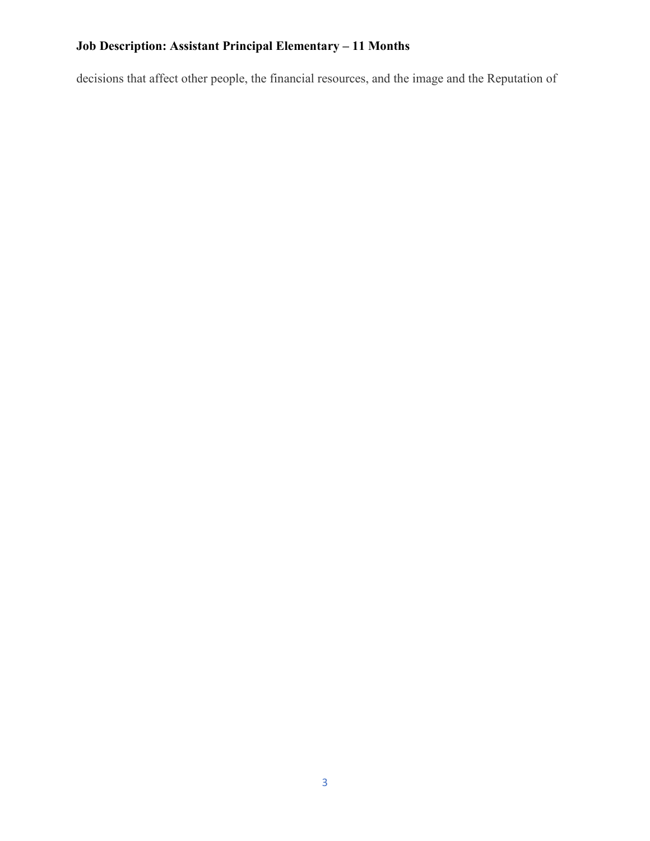decisions that affect other people, the financial resources, and the image and the Reputation of